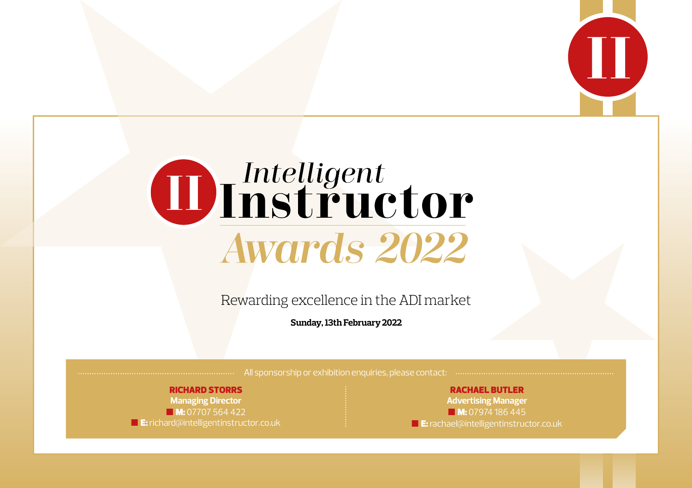

# Thelligent<br>Thistructor **Awards 2022**

Rewarding excellence in the ADI market

**Sunday, 13th February 2022**

All sponsorship or exhibition enquiries, please contact: .......................

#### RICHARD STORRS

**Managing Director M:** 07707 564 422 **E:** richard@intelligentinstructor.co.uk

RACHAEL BUTLER **Advertising Manager M:** 07974 186 445 **E**: rachael@intelligentinstructor.co.uk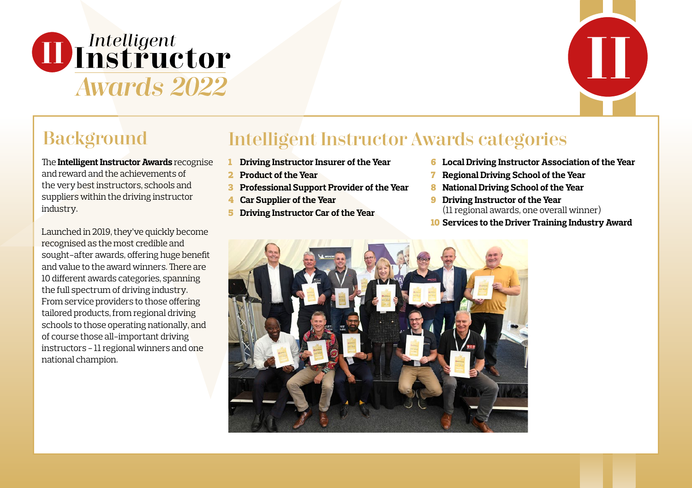



#### **Background**

The **Intelligent Instructor Awards** recognise and reward and the achievements of the very best instructors, schools and suppliers within the driving instructor industry.

Launched in 2019, they've quickly become recognised as the most credible and sought-after awards, offering huge benefit and value to the award winners. There are 10 different awards categories, spanning the full spectrum of driving industry. From service providers to those offering tailored products, from regional driving schools to those operating nationally, and of course those all-important driving instructors - 11 regional winners and one national champion.

#### Intelligent Instructor Awards categories

- 1 **Driving Instructor Insurer of the Year**
- 2 **Product of the Year**
- 3 **Professional Support Provider of the Year**
- 4 **Car Supplier of the Year**
- 5 **Driving Instructor Car of the Year**
- 6 **Local Driving Instructor Association of the Year**
- 7 **Regional Driving School of the Year**
- 8 **National Driving School of the Year**
- 9 **Driving Instructor of the Year**  (11 regional awards, one overall winner)
- 10 **Services to the Driver Training Industry Award**

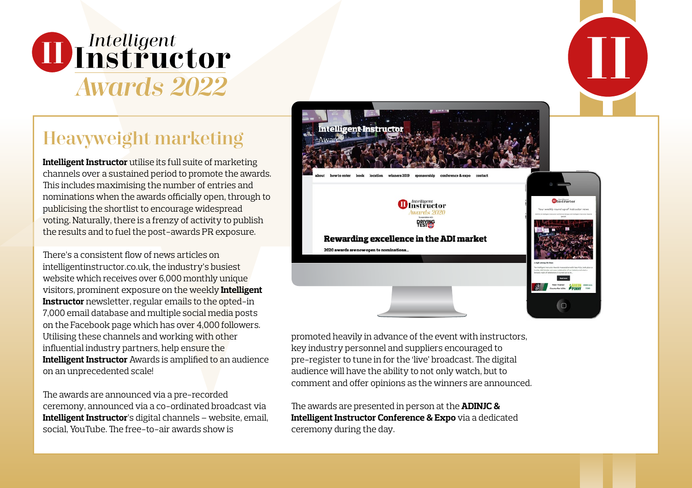

#### Heavyweight marketing

**Intelligent Instructor** utilise its full suite of marketing channels over a sustained period to promote the awards. This includes maximising the number of entries and nominations when the awards officially open, through to publicising the shortlist to encourage widespread voting. Naturally, there is a frenzy of activity to publish the results and to fuel the post-awards PR exposure.

There's a consistent flow of news articles on intelligentinstructor.co.uk, the industry's busiest website which receives over 6,000 monthly unique visitors, prominent exposure on the weekly **Intelligent Instructor** newsletter, regular emails to the opted-in 7,000 email database and multiple social media posts on the Facebook page which has over 4,000 followers. Utilising these channels and working with other influential industry partners, help ensure the **Intelligent Instructor** Awards is amplified to an audience on an unprecedented scale!

The awards are announced via a pre-recorded ceremony, announced via a co-ordinated broadcast via **Intelligent Instructor**'s digital channels – website, email, social, YouTube. The free-to-air awards show is



promoted heavily in advance of the event with instructors, key industry personnel and suppliers encouraged to pre-register to tune in for the 'live' broadcast. The digital audience will have the ability to not only watch, but to comment and offer opinions as the winners are announced.

The awards are presented in person at the **ADINJC & Intelligent Instructor Conference & Expo** via a dedicated ceremony during the day.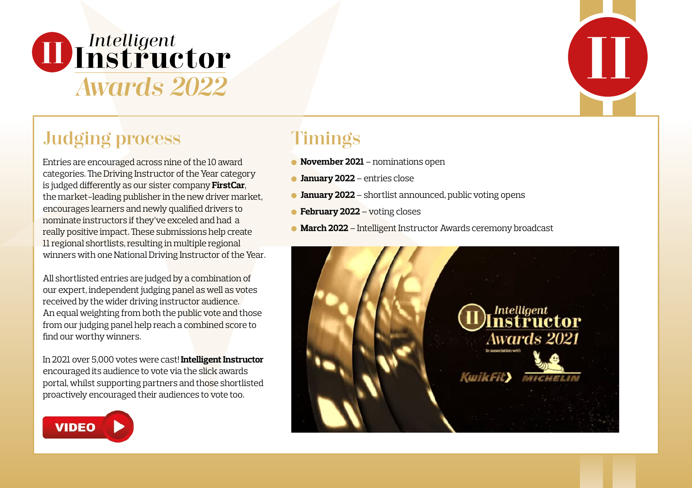

## Judging process Timings

Entries are encouraged across nine of the 10 award categories. The Driving Instructor of the Year category is judged differently as our sister company **FirstCar**, the market-leading publisher in the new driver market, encourages learners and newly qualified drivers to nominate instructors if they've exceled and had a really positive impact. These submissions help create 11 regional shortlists, resulting in multiple regional winners with one National Driving Instructor of the Year.

All shortlisted entries are judged by a combination of our expert, independent judging panel as well as votes received by the wider driving instructor audience. An equal weighting from both the public vote and those from our judging panel help reach a combined score to find our worthy winners.

In 2021 over 5,000 votes were cast! **Intelligent Instructor** encouraged its audience to vote via the slick awards portal, whilst supporting partners and those shortlisted proactively encouraged their audiences to vote too.



- **November 2021** nominations open
- **January 2022** entries close
- **January 2022** shortlist announced, public voting opens
- **February 2022** voting closes
- **March 2022** Intelligent Instructor Awards ceremony broadcast